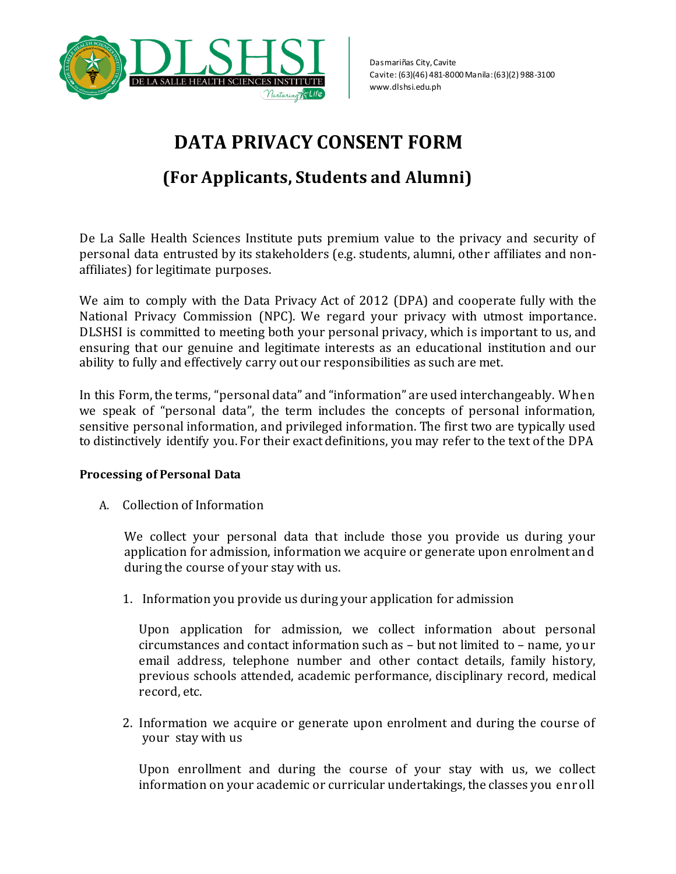

# **DATA PRIVACY CONSENT FORM**

# **(For Applicants, Students and Alumni)**

De La Salle Health Sciences Institute puts premium value to the privacy and security of personal data entrusted by its stakeholders (e.g. students, alumni, other affiliates and nonaffiliates) for legitimate purposes.

We aim to comply with the Data Privacy Act of 2012 (DPA) and cooperate fully with the National Privacy Commission (NPC). We regard your privacy with utmost importance. DLSHSI is committed to meeting both your personal privacy, which is important to us, and ensuring that our genuine and legitimate interests as an educational institution and our ability to fully and effectively carry out our responsibilities as such are met.

In this Form, the terms, "personal data" and "information" are used interchangeably. When we speak of "personal data", the term includes the concepts of personal information, sensitive personal information, and privileged information. The first two are typically used to distinctively identify you. For their exact definitions, you may refer to the text of the DPA

#### **Processing of Personal Data**

A. Collection of Information

We collect your personal data that include those you provide us during your application for admission, information we acquire or generate upon enrolment and during the course of your stay with us.

1. Information you provide us during your application for admission

Upon application for admission, we collect information about personal circumstances and contact information such as – but not limited to – name, your email address, telephone number and other contact details, family history, previous schools attended, academic performance, disciplinary record, medical record, etc.

2. Information we acquire or generate upon enrolment and during the course of your stay with us

Upon enrollment and during the course of your stay with us, we collect information on your academic or curricular undertakings, the classes you enroll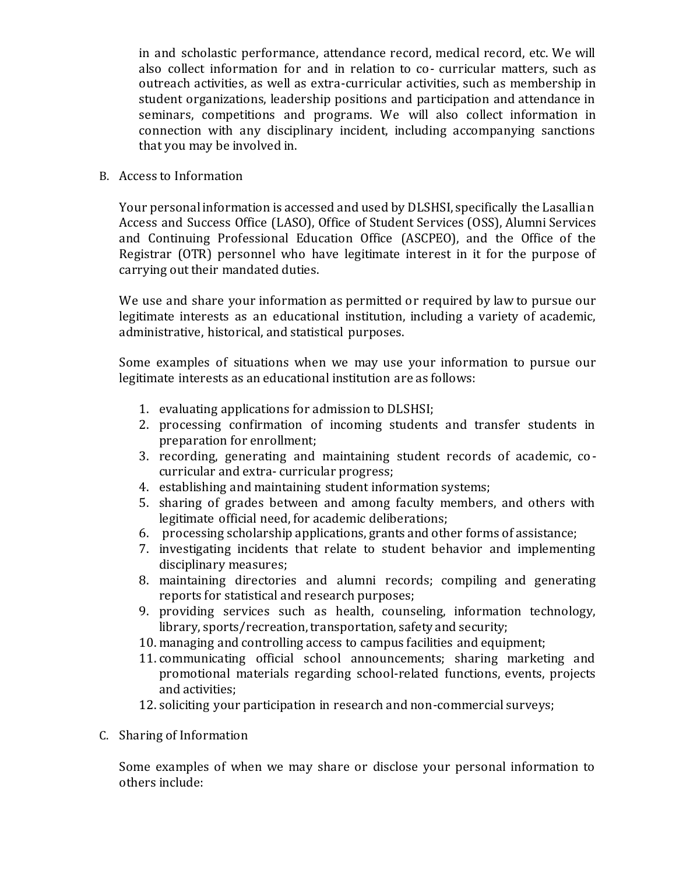in and scholastic performance, attendance record, medical record, etc. We will also collect information for and in relation to co- curricular matters, such as outreach activities, as well as extra-curricular activities, such as membership in student organizations, leadership positions and participation and attendance in seminars, competitions and programs. We will also collect information in connection with any disciplinary incident, including accompanying sanctions that you may be involved in.

#### B. Access to Information

Your personal information is accessed and used by DLSHSI, specifically the Lasallian Access and Success Office (LASO), Office of Student Services (OSS), Alumni Services and Continuing Professional Education Office (ASCPEO), and the Office of the Registrar (OTR) personnel who have legitimate interest in it for the purpose of carrying out their mandated duties.

We use and share your information as permitted or required by law to pursue our legitimate interests as an educational institution, including a variety of academic, administrative, historical, and statistical purposes.

Some examples of situations when we may use your information to pursue our legitimate interests as an educational institution are as follows:

- 1. evaluating applications for admission to DLSHSI;
- 2. processing confirmation of incoming students and transfer students in preparation for enrollment;
- 3. recording, generating and maintaining student records of academic, co curricular and extra- curricular progress;
- 4. establishing and maintaining student information systems;
- 5. sharing of grades between and among faculty members, and others with legitimate official need, for academic deliberations;
- 6. processing scholarship applications, grants and other forms of assistance;
- 7. investigating incidents that relate to student behavior and implementing disciplinary measures;
- 8. maintaining directories and alumni records; compiling and generating reports for statistical and research purposes;
- 9. providing services such as health, counseling, information technology, library, sports/recreation, transportation, safety and security;
- 10. managing and controlling access to campus facilities and equipment;
- 11. communicating official school announcements; sharing marketing and promotional materials regarding school-related functions, events, projects and activities;
- 12. soliciting your participation in research and non-commercial surveys;
- C. Sharing of Information

Some examples of when we may share or disclose your personal information to others include: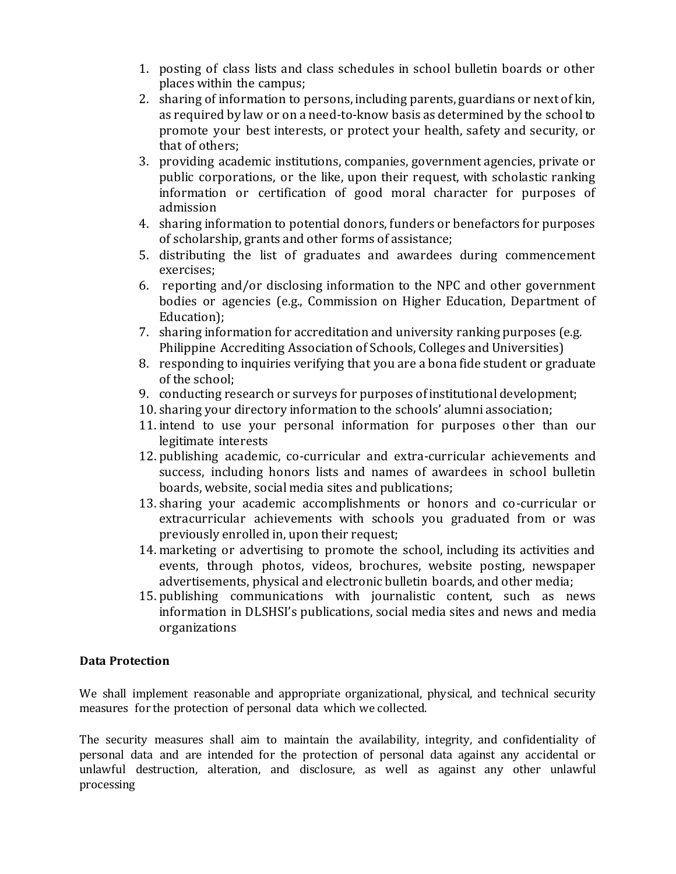- 1. posting of class lists and class schedules in school bulletin boards or other places within the campus;
- 2. sharing of information to persons, including parents, guardians or next of kin, as required by law or on a need-to-know basis as determined by the school to promote your best interests, or protect your health, safety and security, or that of others;
- 3. providing academic institutions, companies, government agencies, private or public corporations, or the like, upon their request, with scholastic ranking information or certification of good moral character for purposes of admission
- 4. sharing information to potential donors, funders or benefactors for purposes of scholarship, grants and other forms of assistance;
- 5. distributing the list of graduates and awardees during commencement exercises;
- 6. reporting and/or disclosing information to the NPC and other government bodies or agencies (e.g., Commission on Higher Education, Department of Education);
- 7. sharing information for accreditation and university ranking purposes (e.g. Philippine Accrediting Association of Schools, Colleges and Universities)
- 8. responding to inquiries verifying that you are a bona fide student or graduate of the school;
- 9. conducting research or surveys for purposes of institutional development;
- 10. sharing your directory information to the schools' alumni association;
- 11. intend to use your personal information for purposes other than our legitimate interests
- 12. publishing academic, co-curricular and extra-curricular achievements and success, including honors lists and names of awardees in school bulletin boards, website, social media sites and publications;
- 13. sharing your academic accomplishments or honors and co-curricular or extracurricular achievements with schools you graduated from or was previously enrolled in, upon their request;
- 14. marketing or advertising to promote the school, including its activities and events, through photos, videos, brochures, website posting, newspaper advertisements, physical and electronic bulletin boards, and other media;
- 15. publishing communications with journalistic content, such as news information in DLSHSI's publications, social media sites and news and media organizations

#### **Data Protection**

We shall implement reasonable and appropriate organizational, physical, and technical security measures for the protection of personal data which we collected.

The security measures shall aim to maintain the availability, integrity, and confidentiality of personal data and are intended for the protection of personal data against any accidental or unlawful destruction, alteration, and disclosure, as well as against any other unlawful processing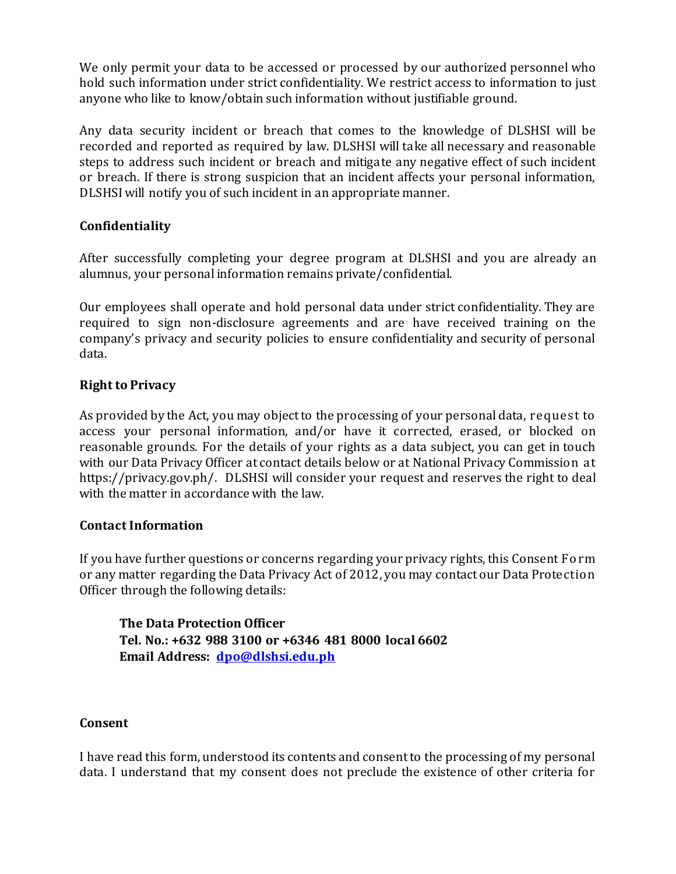We only permit your data to be accessed or processed by our authorized personnel who hold such information under strict confidentiality. We restrict access to information to just anyone who like to know/obtain such information without justifiable ground.

Any data security incident or breach that comes to the knowledge of DLSHSI will be recorded and reported as required by law. DLSHSI will take all necessary and reasonable steps to address such incident or breach and mitigate any negative effect of such incident or breach. If there is strong suspicion that an incident affects your personal information, DLSHSI will notify you of such incident in an appropriate manner.

## **Confidentiality**

After successfully completing your degree program at DLSHSI and you are already an alumnus, your personal information remains private/confidential.

Our employees shall operate and hold personal data under strict confidentiality. They are required to sign non-disclosure agreements and are have received training on the company's privacy and security policies to ensure confidentiality and security of personal data.

## **Right to Privacy**

As provided by the Act, you may object to the processing of your personal data, request to access your personal information, and/or have it corrected, erased, or blocked on reasonable grounds. For the details of your rights as a data subject, you can get in touch with our Data Privacy Officer at contact details below or at National Privacy Commission at https://privacy.gov.ph/. DLSHSI will consider your request and reserves the right to deal with the matter in accordance with the law.

#### **Contact Information**

If you have further questions or concerns regarding your privacy rights, this Consent Form or any matter regarding the Data Privacy Act of 2012, you may contact our Data Protection Officer through the following details:

**The Data Protection Officer Tel. No.: +632 988 3100 or +6346 481 8000 local 6602 Email Address: [dpo@dlshsi.edu.ph](mailto:dpo@dlshsi.edu.ph)**

#### **Consent**

I have read this form, understood its contents and consent to the processing of my personal data. I understand that my consent does not preclude the existence of other criteria for